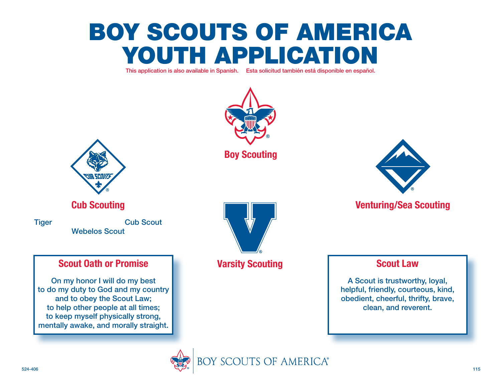# Boy Scouts of America YOUTH APPLICATION

This application is also available in Spanish. Esta solicitud también está disponible en español.



**Boy Scouting**



# **Venturing/Sea Scouting**

**Scout Law**

A Scout is trustworthy, loyal, helpful, friendly, courteous, kind, obedient, cheerful, thrifty, brave, clean, and reverent.



# **Cub Scouting**

Tiger Cub Scout Webelos Scout

# **Scout Oath or Promise**

On my honor I will do my best to do my duty to God and my country and to obey the Scout Law; to help other people at all times; to keep myself physically strong, mentally awake, and morally straight.



# **Varsity Scouting**

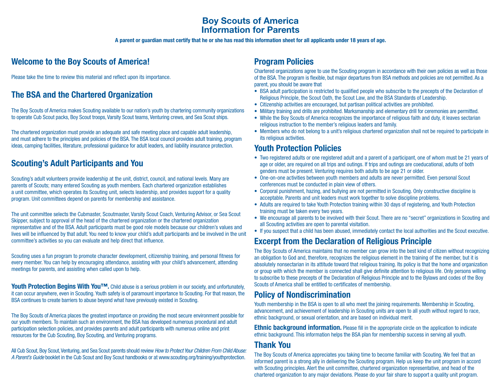### **Boy Scouts of America Information for Parents**

**A parent or guardian must certify that he or she has read this information sheet for all applicants under 18 years of age.**

# **Welcome to the Boy Scouts of America!**

Please take the time to review this material and reflect upon its importance.

# **The BSA and the Chartered Organization**

The Boy Scouts of America makes Scouting available to our nation's youth by chartering community organizations to operate Cub Scout packs, Boy Scout troops, Varsity Scout teams, Venturing crews, and Sea Scout ships.

The chartered organization must provide an adequate and safe meeting place and capable adult leadership, and must adhere to the principles and policies of the BSA. The BSA local council provides adult training, program ideas, camping facilities, literature, professional guidance for adult leaders, and liability insurance protection.

### **Scouting's Adult Participants and You**

Scouting's adult volunteers provide leadership at the unit, district, council, and national levels. Many are parents of Scouts; many entered Scouting as youth members. Each chartered organization establishes a unit committee, which operates its Scouting unit, selects leadership, and provides support for a quality program. Unit committees depend on parents for membership and assistance.

The unit committee selects the Cubmaster, Scoutmaster, Varsity Scout Coach, Venturing Advisor, or Sea Scout Skipper, subject to approval of the head of the chartered organization or the chartered organization representative and of the BSA. Adult participants must be good role models because our children's values and lives will be influenced by that adult. You need to know your child's adult participants and be involved in the unit committee's activities so you can evaluate and help direct that influence.

Scouting uses a fun program to promote character development, citizenship training, and personal fitness for every member. You can help by encouraging attendance, assisting with your child's advancement, attending meetings for parents, and assisting when called upon to help.

**Youth Protection Begins With You™.** Child abuse is a serious problem in our society, and unfortunately, it can occur anywhere, even in Scouting. Youth safety is of paramount importance to Scouting. For that reason, the BSA continues to create barriers to abuse beyond what have previously existed in Scouting.

The Boy Scouts of America places the greatest importance on providing the most secure environment possible for our youth members. To maintain such an environment, the BSA has developed numerous procedural and adult participation selection policies, and provides parents and adult participants with numerous online and print resources for the Cub Scouting, Boy Scouting, and Venturing programs.

All Cub Scout, Boy Scout, Venturing, and Sea Scout parents should review *How to Protect Your Children From Child Abuse: A Parent's Guide* booklet in the Cub Scout and Boy Scout handbooks or at www.scouting.org/training/youthprotection.

# **Program Policies**

Chartered organizations agree to use the Scouting program in accordance with their own policies as well as those of the BSA. The program is flexible, but major departures from BSA methods and policies are not permitted. As a parent, you should be aware that

- BSA adult participation is restricted to qualified people who subscribe to the precepts of the Declaration of Religious Principle, the Scout Oath, the Scout Law, and the BSA Standards of Leadership.
- Citizenship activities are encouraged, but partisan political activities are prohibited.
- Military training and drills are prohibited. Marksmanship and elementary drill for ceremonies are permitted.
- While the Boy Scouts of America recognizes the importance of religious faith and duty, it leaves sectarian religious instruction to the member's religious leaders and family.
- Members who do not belong to a unit's religious chartered organization shall not be required to participate in its religious activities.

### **Youth Protection Policies**

- Two registered adults or one registered adult and a parent of a participant, one of whom must be 21 years of age or older, are required on all trips and outings. If trips and outings are coeducational, adults of both genders must be present. Venturing requires both adults to be age 21 or older.
- One-on-one activities between youth members and adults are never permitted. Even personal Scout conferences must be conducted in plain view of others.
- Corporal punishment, hazing, and bullying are not permitted in Scouting. Only constructive discipline is acceptable. Parents and unit leaders must work together to solve discipline problems.
- Adults are required to take Youth Protection training within 30 days of registering, and Youth Protection training must be taken every two years.
- We encourage all parents to be involved with their Scout. There are no "secret" organizations in Scouting and all Scouting activities are open to parental visitation.
- If you suspect that a child has been abused, immediately contact the local authorities and the Scout executive.

# **Excerpt from the Declaration of Religious Principle**

The Boy Scouts of America maintains that no member can grow into the best kind of citizen without recognizing an obligation to God and, therefore, recognizes the religious element in the training of the member, but it is absolutely nonsectarian in its attitude toward that religious training. Its policy is that the home and organization or group with which the member is connected shall give definite attention to religious life. Only persons willing to subscribe to these precepts of the Declaration of Religious Principle and to the Bylaws and codes of the Boy Scouts of America shall be entitled to certificates of membership.

### **Policy of Nondiscrimination**

Youth membership in the BSA is open to all who meet the joining requirements. Membership in Scouting, advancement, and achievement of leadership in Scouting units are open to all youth without regard to race, ethnic background, or sexual orientation, and are based on individual merit.

**Ethnic background information.** Please fill in the appropriate circle on the application to indicate ethnic background. This information helps the BSA plan for membership success in serving all youth.

### **Thank You**

The Boy Scouts of America appreciates you taking time to become familiar with Scouting. We feel that an informed parent is a strong ally in delivering the Scouting program. Help us keep the unit program in accord with Scouting principles. Alert the unit committee, chartered organization representative, and head of the chartered organization to any major deviations. Please do your fair share to support a quality unit program.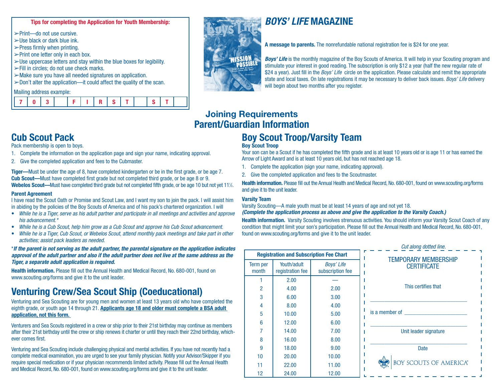#### **Tips for completing the Application for Youth Membership:**

Print—do not use cursive.

- $\geq$ Use black or dark blue ink.
- $\blacktriangleright$ Press firmly when printing.
- $\blacktriangleright$ Print one letter only in each box.
- $>$ Use uppercase letters and stay within the blue boxes for legibility.
- Fill in circles; do not use check marks.
- Make sure you have all needed signatures on application.
- $\geq$ Don't alter the application—it could affect the quality of the scan.

#### Mailing address example:

|--|



# *BOYS' LIFE* **MAGAZINE**

**A message to parents.** The nonrefundable national registration fee is \$24 for one year.

*Boys' Life* is the monthly magazine of the Boy Scouts of America. It will help in your Scouting program and stimulate your interest in good reading. The subscription is only \$12 a year (half the new regular rate of \$24 a year). Just fill in the *Boys' Life* circle on the application. Please calculate and remit the appropriate state and local taxes. On late registrations it may be necessary to deliver back issues. *Boys' Life* delivery will begin about two months after you register.

# **Joining Requirements Parent/Guardian Information**

# **Boy Scout Troop/Varsity Team**

#### **Boy Scout Troop**

Your son can be a Scout if he has completed the fifth grade and is at least 10 years old or is age 11 or has earned the Arrow of Light Award and is at least 10 years old, but has not reached age 18.

- 1. Complete the application (sign your name, indicating approval).
- 2. Give the completed application and fees to the Scoutmaster.

**Health information.** Please fill out the Annual Health and Medical Record, No. 680-001, found on www.scouting.org/forms and give it to the unit leader.

#### **Varsity Team**

**Term** 

Varsity Scouting—A male youth must be at least 14 years of age and not yet 18.

#### *(Complete the application process as above and give the application to the Varsity Coach.)*

**Health information.** Varsity Scouting involves strenuous activities. You should inform your Varsity Scout Coach of any condition that might limit your son's participation. Please fill out the Annual Health and Medical Record, No. 680-001, found on www.scouting.org/forms and give it to the unit leader.

|                  |                                                |                                | Cut along dotted line.        |
|------------------|------------------------------------------------|--------------------------------|-------------------------------|
|                  | <b>Registration and Subscription Fee Chart</b> |                                | <b>TEMPORARY MEMBERSHIP</b>   |
| erm per<br>month | Youth/adult<br>registration fee                | Boys' Life<br>subscription fee | <b>CERTIFICATE</b>            |
|                  | 2.00                                           |                                |                               |
| 2                | 4.00                                           | 2.00                           | This certifies that           |
| 3                | 6.00                                           | 3.00                           |                               |
| 4                | 8.00                                           | 4.00                           |                               |
| 5                | 10.00                                          | 5.00                           | is a member of                |
| 6                | 12.00                                          | 6.00                           |                               |
|                  | 14.00                                          | 7.00                           | Unit leader signature         |
| 8                | 16.00                                          | 8.00                           |                               |
| 9                | 18.00                                          | 9.00                           | Date                          |
| 10               | 20.00                                          | 10.00                          |                               |
| 11               | 22.00                                          | 11.00                          | <b>BOY SCOUTS OF AMERICA®</b> |
| 12               | 24.00                                          | 12.00                          |                               |

# **Cub Scout Pack**

Pack membership is open to boys.

- 1. Complete the information on the application page and sign your name, indicating approval.
- 2. Give the completed application and fees to the Cubmaster.

**Tiger—**Must be under the age of 8, have completed kindergarten or be in the first grade, or be age 7. **Cub Scout—**Must have completed first grade but not completed third grade, or be age 8 or 9. Webelos Scout—Must have completed third grade but not completed fifth grade, or be age 10 but not yet 11<sup>1</sup>/<sub>2</sub>.

#### **Parent Agreement**

I have read the Scout Oath or Promise and Scout Law, and I want my son to join the pack. I will assist him in abiding by the policies of the Boy Scouts of America and of his pack's chartered organization. I will

- *While he is a Tiger, serve as his adult partner and participate in all meetings and activities and approve his advancement.\**
- *While he is a Cub Scout, help him grow as a Cub Scout and approve his Cub Scout advancement.*
- *While he is a Tiger, Cub Scout, or Webelos Scout, attend monthly pack meetings and take part in other activities; assist pack leaders as needed.*

#### \**If the parent is not serving as the adult partner, the parental signature on the application indicates approval of the adult partner and also if the adult partner does not live at the same address as the Tiger, a separate adult application is required.*

**Health information.** Please fill out the Annual Health and Medical Record, No. 680-001, found on www.scouting.org/forms and give it to the unit leader.

# **Venturing Crew/Sea Scout Ship (Coeducational)**

Venturing and Sea Scouting are for young men and women at least 13 years old who have completed the eighth grade, or youth age 14 through 21. **Applicants age 18 and older must complete a BSA adult application, not this form.** 

Venturers and Sea Scouts registered in a crew or ship prior to their 21st birthday may continue as members after their 21st birthday until the crew or ship renews it charter or until they reach their 22nd birthday, whichever comes first.

Venturing and Sea Scouting include challenging physical and mental activities. If you have not recently had a complete medical examination, you are urged to see your family physician. Notify your Advisor/Skipper if you require special medication or if your physician recommends limited activity. Please fill out the Annual Health and Medical Record, No. 680-001, found on www.scouting.org/forms and give it to the unit leader.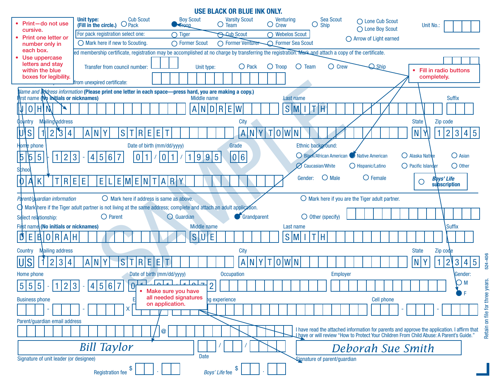|                                                                      |                                                                                                                                                       |                                          | <b>USE BLACK OR BLUE INK ONLY.</b>  |                                     |                                                                  |                                                                                                                                                                                         |                                        |                       |
|----------------------------------------------------------------------|-------------------------------------------------------------------------------------------------------------------------------------------------------|------------------------------------------|-------------------------------------|-------------------------------------|------------------------------------------------------------------|-----------------------------------------------------------------------------------------------------------------------------------------------------------------------------------------|----------------------------------------|-----------------------|
| • Print-do not use<br>cursive.                                       | <b>Cub Scout</b><br><b>Unit type:</b><br>$O$ Pack<br>(Fill in the circle.)                                                                            | <b>Boy Scout</b><br>$H$ Freque           | <b>Varsity Scout</b><br>$\cup$ Team | Venturing<br>$\bigcirc$ Crew        | Sea Scout<br>Ő<br><b>Ship</b>                                    | ◯ Lone Cub Scout<br>◯ Lone Boy Scout                                                                                                                                                    | Unit No.:                              |                       |
| Print one letter or                                                  | For pack registration select one:                                                                                                                     | $\bigcirc$ Tiger                         | <b>Scub Scout</b>                   | $\bigcap$ Webelos Scout             |                                                                  | $\bigcirc$ Arrow of Light earned                                                                                                                                                        |                                        |                       |
| number only in<br>each box.                                          | O Mark here if new to Scouting.                                                                                                                       | ◯ Former Scout                           | O Former Venturer                   | <b>C</b> Former Sea Scout           |                                                                  |                                                                                                                                                                                         |                                        |                       |
| • Use uppercase                                                      | ed membership certificate, registration may be accomplished at no charge by transferring the registration. Mark and attach a copy of the certificate. |                                          |                                     |                                     |                                                                  |                                                                                                                                                                                         |                                        |                       |
| letters and stay<br>within the blue                                  | Transfer from council number:                                                                                                                         | Unit type:                               | O Pack                              | $\bigcirc$ Troop<br>$\bigcirc$ Team | $\bigcirc$ Crew                                                  | $\bigcirc$ Ship                                                                                                                                                                         | Fill in radio buttons                  |                       |
| boxes for legibility.                                                | <b>Ifrom unexpired certificate:</b>                                                                                                                   |                                          |                                     |                                     |                                                                  |                                                                                                                                                                                         | completely.                            |                       |
| <b>instimame (No initials or nicknames)</b>                          | Vame and Ndress information (Please print one letter in each space—press hard, you are making a copy.)                                                | Middle name                              |                                     | Last name                           |                                                                  |                                                                                                                                                                                         |                                        | <b>Suffix</b>         |
| H N<br> 0                                                            |                                                                                                                                                       | IN.<br>Al                                | R E<br>D                            | $S$ M                               | H                                                                |                                                                                                                                                                                         |                                        |                       |
| Mailing\address<br>Country                                           |                                                                                                                                                       |                                          | <b>City</b>                         |                                     |                                                                  |                                                                                                                                                                                         | <b>State</b><br>Zip code               |                       |
| <b>VS</b><br>$\overline{2}$<br>$\mathcal{S}$<br>4                    | S<br>$\mathsf{R}$<br>E.<br>E<br>Y<br>$\mathsf{A}$<br>N                                                                                                |                                          | $\mathsf{A}$<br>$\mathsf N$         | $\mathbf{T}$<br> 0 W<br>N           |                                                                  |                                                                                                                                                                                         | N<br>$ 2\rangle$                       | $\mathbf{3}$<br>4 5   |
|                                                                      |                                                                                                                                                       |                                          |                                     |                                     |                                                                  |                                                                                                                                                                                         |                                        |                       |
| Home phone                                                           | Date of birth (mm/dd/yyyy)                                                                                                                            |                                          | Grade                               |                                     | Ethnic background:<br>◯ Black/African American V Native American |                                                                                                                                                                                         | $\bigcirc$ Alaska Native               | $O$ Asian             |
| $\overline{5}$<br>$\beta$<br>$\overline{5}$<br>$\overline{2}$        | $\overline{5}$<br> 6 <br>$\overline{7}$<br>$\mathbf{3}$<br>4<br>$\bf{0}$                                                                              | 995                                      | 0 6                                 |                                     | <b>Ø</b> Caucasian/White                                         | O Hispanic/Latino                                                                                                                                                                       | $\bigcirc$ Pacific Islander            | $\bigcirc$ Other      |
| School                                                               |                                                                                                                                                       |                                          |                                     |                                     |                                                                  |                                                                                                                                                                                         |                                        |                       |
| R <br>K<br>$\mathbf 0$<br>A                                          | E<br>Ε<br>E[M]E[N]T[A]R<br>E                                                                                                                          |                                          |                                     | Gender:                             | $\bigcirc$ Male                                                  | $\bigcirc$ Female                                                                                                                                                                       | <b>Boys' Life</b><br>O<br>subscription |                       |
|                                                                      |                                                                                                                                                       |                                          |                                     |                                     |                                                                  |                                                                                                                                                                                         |                                        |                       |
| Parent/guardian information                                          | $\bigcirc$ Mark here if address is same as above.                                                                                                     |                                          |                                     |                                     |                                                                  | $\bigcirc$ Mark here if you are the Tiger adult partner.                                                                                                                                |                                        |                       |
|                                                                      | $\bigcirc$ Mark nere if the Tiger adult partner is not living at the same address; complete and attach an adult application.                          |                                          |                                     |                                     |                                                                  |                                                                                                                                                                                         |                                        |                       |
| Select relationship:                                                 | $O$ Parent                                                                                                                                            | <b>O</b> Guardian                        | Grandparent                         |                                     | $\bigcirc$ Other (specify)                                       |                                                                                                                                                                                         |                                        |                       |
| First name (No initials or nicknames)                                |                                                                                                                                                       | <b>Middle name</b>                       |                                     | Last name                           |                                                                  |                                                                                                                                                                                         |                                        | <b>Suffix</b>         |
| O R A H<br>E<br>B.<br>D                                              |                                                                                                                                                       | S                                        | Έ                                   | S<br>(M)                            | Ή                                                                |                                                                                                                                                                                         |                                        |                       |
| <b>Mailing address</b><br>Country                                    |                                                                                                                                                       |                                          | <b>City</b>                         |                                     |                                                                  |                                                                                                                                                                                         | <b>State</b><br>Zip code               |                       |
| 4                                                                    | E<br>$\mathsf{R}$<br>Έ<br>$\mathsf{A}$<br>N                                                                                                           |                                          | N                                   | $\overline{0}$                      |                                                                  |                                                                                                                                                                                         |                                        |                       |
| U S<br>$\overline{3}$<br>$\overline{2}$                              | S                                                                                                                                                     |                                          | $\mathsf{A}$                        |                                     |                                                                  |                                                                                                                                                                                         | N<br>$\overline{2}$                    | $\overline{3}$<br>4 5 |
| Home phone                                                           | Date of birth (mm/dd/yyyy)                                                                                                                            | $\rightarrow$                            | <b>Occupation</b>                   |                                     | <b>Employer</b>                                                  |                                                                                                                                                                                         |                                        | Gender:<br>OМ         |
| 5 <sup>1</sup><br>$\overline{5}$<br>5 <sup>1</sup><br>$\overline{2}$ | $\overline{0}$<br>$\overline{5}$<br> 6 <br>$\overline{7}$<br>$\mathbf{3}$<br>4                                                                        | Make sure you have                       | $\overline{2}$                      |                                     |                                                                  |                                                                                                                                                                                         |                                        |                       |
| <b>Business phone</b>                                                |                                                                                                                                                       | all needed signatures<br>on application. | hg experience                       |                                     |                                                                  | <b>Cell phone</b>                                                                                                                                                                       |                                        |                       |
|                                                                      | х                                                                                                                                                     |                                          |                                     |                                     |                                                                  |                                                                                                                                                                                         |                                        |                       |
| Parent/guardian email address                                        |                                                                                                                                                       |                                          |                                     |                                     |                                                                  |                                                                                                                                                                                         |                                        |                       |
|                                                                      |                                                                                                                                                       | $\circleda$                              |                                     |                                     |                                                                  | I have read the attached information for parents and approve the application. I affirm that<br>" Lhave or will review "How to Protect Your Children From Child Abuse: A Parent's Guide. |                                        |                       |
|                                                                      | <b>Bill Taylor</b>                                                                                                                                    |                                          |                                     |                                     |                                                                  | Deborah Sue Smith                                                                                                                                                                       |                                        |                       |
| Signature of unit leader (or designee)                               |                                                                                                                                                       | <b>Date</b>                              |                                     |                                     | Signature of parent/guardian                                     |                                                                                                                                                                                         |                                        |                       |

524-406 Retain on file for three years. Retain on file for three years.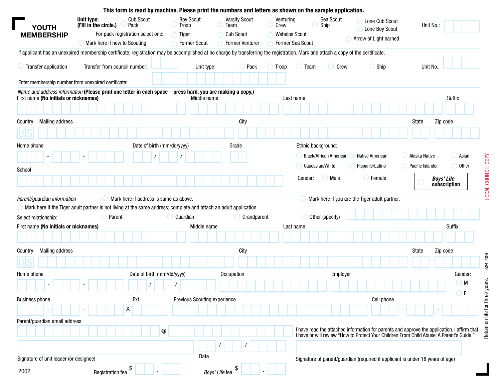|                                                                                                                                                  | This form is read by machine. Please print the numbers and letters as shown on the sample application.            |                                        |                              |                                                                                                                                                                                  |                      |                               |                                                                                                                                                                                      |                          |                                   |
|--------------------------------------------------------------------------------------------------------------------------------------------------|-------------------------------------------------------------------------------------------------------------------|----------------------------------------|------------------------------|----------------------------------------------------------------------------------------------------------------------------------------------------------------------------------|----------------------|-------------------------------|--------------------------------------------------------------------------------------------------------------------------------------------------------------------------------------|--------------------------|-----------------------------------|
| YOUTH                                                                                                                                            | Unit type:<br>(Fill in the circle.)                                                                               | <b>Cub Scout</b><br>Pack               | <b>Boy Scout</b><br>Troop    | <b>Varsity Scout</b><br>Team                                                                                                                                                     | Venturing<br>Crew    | Sea Scout<br>Ship             | Lone Cub Scout<br>Lone Boy Scout                                                                                                                                                     | Unit No.:                |                                   |
| <b>MEMBERSHIP</b>                                                                                                                                |                                                                                                                   | For pack registration select one:      | Tiger                        | <b>Cub Scout</b>                                                                                                                                                                 | <b>Webelos Scout</b> |                               | Arrow of Light earned                                                                                                                                                                |                          |                                   |
|                                                                                                                                                  | Mark here if new to Scouting.                                                                                     |                                        | <b>Former Scout</b>          | <b>Former Venturer</b>                                                                                                                                                           | Former Sea Scout     |                               |                                                                                                                                                                                      |                          |                                   |
|                                                                                                                                                  |                                                                                                                   |                                        |                              | If applicant has an unexpired membership certificate, registration may be accomplished at no charge by transferring the registration. Mark and attach a copy of the certificate. |                      |                               |                                                                                                                                                                                      |                          |                                   |
| Transfer application                                                                                                                             | Transfer from council number:                                                                                     |                                        | Unit type:                   | Pack                                                                                                                                                                             | Troop<br>Team        | Crew                          | $\bigcirc$ Ship                                                                                                                                                                      | Unit No.                 |                                   |
| Enter membership number from unexpired certificate:                                                                                              |                                                                                                                   |                                        |                              |                                                                                                                                                                                  |                      |                               |                                                                                                                                                                                      |                          |                                   |
| Name and address information (Please print one letter in each space-press hard, you are making a copy.)<br>First name (No initials or nicknames) |                                                                                                                   |                                        | Middle name                  |                                                                                                                                                                                  | Last name            |                               |                                                                                                                                                                                      |                          | Suffix                            |
|                                                                                                                                                  |                                                                                                                   |                                        |                              |                                                                                                                                                                                  |                      |                               |                                                                                                                                                                                      |                          |                                   |
| <b>Mailing address</b><br>Country                                                                                                                |                                                                                                                   |                                        |                              | City                                                                                                                                                                             |                      |                               |                                                                                                                                                                                      | State                    | Zip code                          |
|                                                                                                                                                  |                                                                                                                   |                                        |                              |                                                                                                                                                                                  |                      |                               |                                                                                                                                                                                      |                          |                                   |
|                                                                                                                                                  |                                                                                                                   |                                        |                              |                                                                                                                                                                                  |                      |                               |                                                                                                                                                                                      |                          |                                   |
| Home phone                                                                                                                                       |                                                                                                                   | Date of birth (mm/dd/yyyy)             |                              | Grade                                                                                                                                                                            |                      | Ethnic background:            |                                                                                                                                                                                      |                          |                                   |
|                                                                                                                                                  |                                                                                                                   |                                        |                              |                                                                                                                                                                                  |                      | <b>Black/African American</b> | Native American                                                                                                                                                                      | $\bigcirc$ Alaska Native | $\bigcirc$ Asian                  |
| School                                                                                                                                           |                                                                                                                   |                                        |                              |                                                                                                                                                                                  |                      | Caucasian/White               | Hispanic/Latino                                                                                                                                                                      | Pacific Islander         | $\bigcirc$ Other                  |
|                                                                                                                                                  |                                                                                                                   |                                        |                              |                                                                                                                                                                                  |                      |                               |                                                                                                                                                                                      |                          |                                   |
|                                                                                                                                                  |                                                                                                                   |                                        |                              |                                                                                                                                                                                  | Gender:              | Male                          | $\bigcirc$ Female                                                                                                                                                                    |                          | <b>Boys' Life</b><br>subscription |
| Parent/guardian information                                                                                                                      |                                                                                                                   | Mark here if address is same as above. |                              |                                                                                                                                                                                  |                      |                               | Mark here if you are the Tiger adult partner.                                                                                                                                        |                          |                                   |
|                                                                                                                                                  | Mark here if the Tiger adult partner is not living at the same address; complete and attach an adult application. |                                        |                              |                                                                                                                                                                                  |                      |                               |                                                                                                                                                                                      |                          |                                   |
|                                                                                                                                                  | $\bigcirc$ Parent                                                                                                 |                                        | $\bigcirc$ Guardian          | Grandparent                                                                                                                                                                      |                      | Other (specify)               |                                                                                                                                                                                      |                          |                                   |
| Select relationship:<br>First name (No initials or nicknames)                                                                                    |                                                                                                                   |                                        | Middle name                  |                                                                                                                                                                                  | Last name            |                               |                                                                                                                                                                                      |                          | Suffix                            |
|                                                                                                                                                  |                                                                                                                   |                                        |                              |                                                                                                                                                                                  |                      |                               |                                                                                                                                                                                      |                          |                                   |
| <b>Mailing address</b><br>Country                                                                                                                |                                                                                                                   |                                        |                              | City                                                                                                                                                                             |                      |                               |                                                                                                                                                                                      | State                    | Zip code                          |
|                                                                                                                                                  |                                                                                                                   |                                        |                              |                                                                                                                                                                                  |                      |                               |                                                                                                                                                                                      |                          |                                   |
|                                                                                                                                                  |                                                                                                                   |                                        |                              |                                                                                                                                                                                  |                      |                               |                                                                                                                                                                                      |                          |                                   |
| Home phone                                                                                                                                       |                                                                                                                   | Date of birth (mm/dd/yyyy)             |                              | Occupation                                                                                                                                                                       |                      | Employer                      |                                                                                                                                                                                      |                          | Gender:<br>$\bigcirc$ M           |
|                                                                                                                                                  |                                                                                                                   |                                        |                              |                                                                                                                                                                                  |                      |                               |                                                                                                                                                                                      |                          |                                   |
|                                                                                                                                                  |                                                                                                                   | Ext.                                   | Previous Scouting experience |                                                                                                                                                                                  |                      |                               | Cell phone                                                                                                                                                                           |                          | ) F                               |
|                                                                                                                                                  |                                                                                                                   | х                                      |                              |                                                                                                                                                                                  |                      |                               |                                                                                                                                                                                      |                          |                                   |
|                                                                                                                                                  |                                                                                                                   |                                        |                              |                                                                                                                                                                                  |                      |                               |                                                                                                                                                                                      |                          |                                   |
|                                                                                                                                                  |                                                                                                                   | $^\copyright$                          |                              |                                                                                                                                                                                  |                      |                               | I have read the attached information for parents and approve the application. I affirm that I have or will review "How to Protect Your Children From Child Abuse: A Parent's Guide." |                          |                                   |
|                                                                                                                                                  |                                                                                                                   |                                        |                              |                                                                                                                                                                                  |                      |                               |                                                                                                                                                                                      |                          |                                   |
| <b>Business phone</b><br>Parent/guardian email address<br>Signature of unit leader (or designee)                                                 |                                                                                                                   |                                        | Date                         |                                                                                                                                                                                  |                      |                               | Signature of parent/guardian (required if applicant is under 18 years of age)                                                                                                        |                          |                                   |